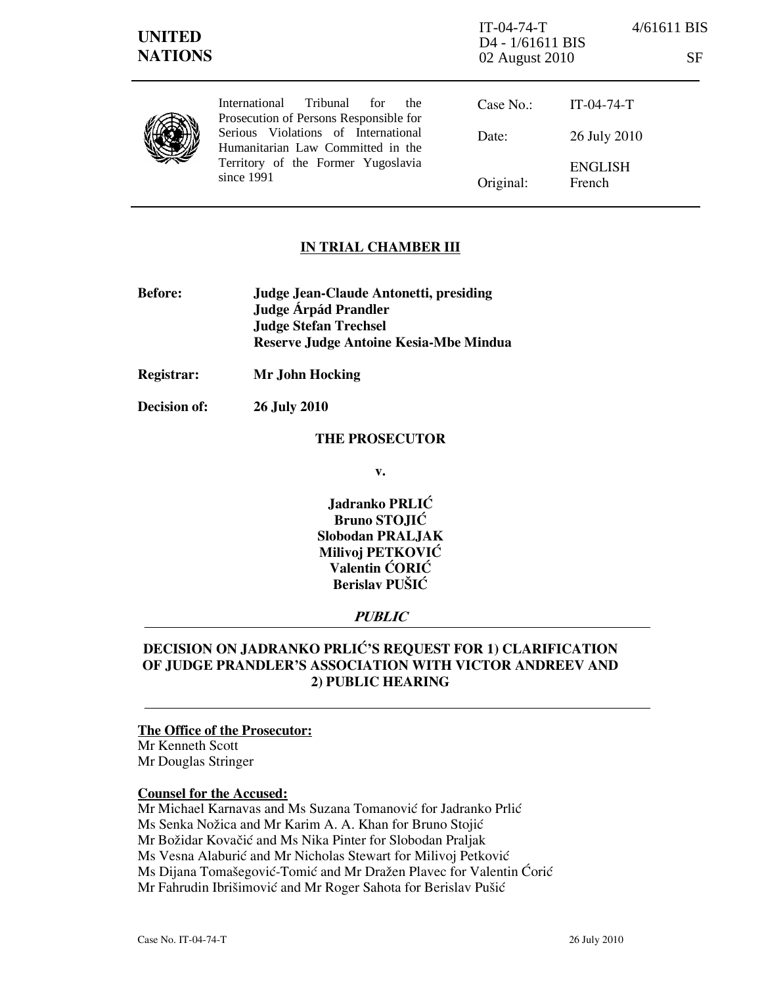| <b>UNITED</b><br><b>NATIONS</b> |                                                                                                                                | $IT-04-74-T$<br>D <sub>4</sub> - 1/61611 BIS<br>02 August 2010 | 4/61611 BIS<br>SF        |
|---------------------------------|--------------------------------------------------------------------------------------------------------------------------------|----------------------------------------------------------------|--------------------------|
|                                 | Tribunal<br><i>International</i><br>for<br>the<br>Prosecution of Persons Responsible for                                       | Case No.:                                                      | $IT-04-74-T$             |
|                                 | Serious Violations of International<br>Humanitarian Law Committed in the<br>Territory of the Former Yugoslavia<br>since $1991$ | Date:                                                          | 26 July 2010             |
|                                 |                                                                                                                                | Original:                                                      | <b>ENGLISH</b><br>French |

# IN TRIAL CHAMBER III

- Before: Judge Jean-Claude Antonetti, presiding Judge **Árpád Prandler**  Judge Stefan Trechsel Reserve Judge Antoine Kesia-Mbe Mindua
- Registrar: Mr John Hocking

Decision of: 26 July 2010

### THE PROSECUTOR

v.

Jadranko PRLIĆ Bruno STOJIĆ Slobodan PRALJAK Milivoj PETKOVIĆ Valentin ĆORIĆ Berislav PUŠIĆ

# **PUBLIC**

# DECISION ON JADRANKO PRLIĆ'S REQUEST FOR 1) CLARIFICATION OF JUDGE PRANDLER'S ASSOCIATION WITH VICTOR ANDREEV AND 2) PUBLIC HEARING

## The Office of the Prosecutor:

Mr Kenneth Scott Mr Douglas Stringer

#### Counsel for the Accused:

Mr Michael Karnavas and Ms Suzana Tomanović for Jadranko Prlić Ms Senka Nožica and Mr Karim A. A. Khan for Bruno Stojić Mr Božidar Kovačić and Ms Nika Pinter for Slobodan Praljak Ms Vesna Alaburić and Mr Nicholas Stewart for Milivoj Petković Ms Dijana Tomašegović-Tomić and Mr Dražen Plavec for Valentin Ćorić Mr Fahrudin Ibrišimović and Mr Roger Sahota for Berislav Pušić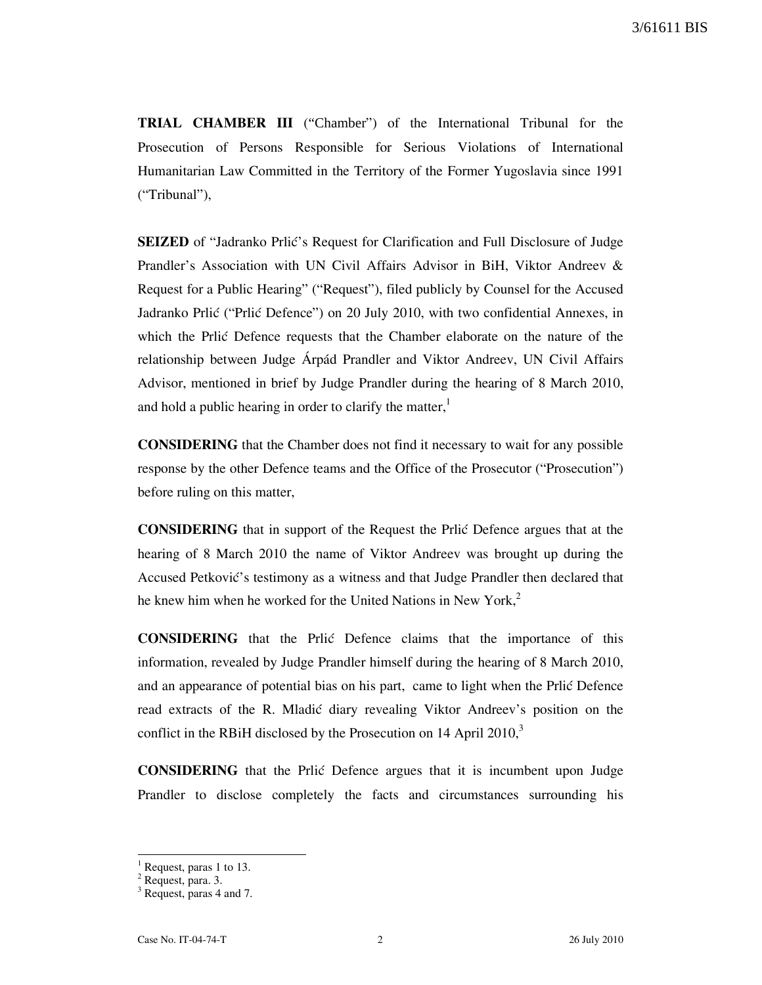TRIAL CHAMBER III ("Chamber") of the International Tribunal for the Prosecution of Persons Responsible for Serious Violations of International Humanitarian Law Committed in the Territory of the Former Yugoslavia since 1991 ("Tribunal"),

**SEIZED** of "Jadranko Prlić's Request for Clarification and Full Disclosure of Judge Prandler's Association with UN Civil Affairs Advisor in BiH, Viktor Andreev & Request for a Public Hearing" ("Request"), filed publicly by Counsel for the Accused Jadranko Prlić ("Prlić Defence") on 20 July 2010, with two confidential Annexes, in which the Prlić Defence requests that the Chamber elaborate on the nature of the relationship between Judge Árpád Prandler and Viktor Andreev, UN Civil Affairs Advisor, mentioned in brief by Judge Prandler during the hearing of 8 March 2010, and hold a public hearing in order to clarify the matter, $\frac{1}{1}$ 

CONSIDERING that the Chamber does not find it necessary to wait for any possible response by the other Defence teams and the Office of the Prosecutor ("Prosecution") before ruling on this matter,

CONSIDERING that in support of the Request the Prli} Defence argues that at the hearing of 8 March 2010 the name of Viktor Andreev was brought up during the Accused Petković's testimony as a witness and that Judge Prandler then declared that he knew him when he worked for the United Nations in New York, $2<sup>2</sup>$ 

CONSIDERING that the Prli} Defence claims that the importance of this information, revealed by Judge Prandler himself during the hearing of 8 March 2010, and an appearance of potential bias on his part, came to light when the Prlić Defence read extracts of the R. Mladić diary revealing Viktor Andreev's position on the conflict in the RBiH disclosed by the Prosecution on 14 April 2010, $3$ 

CONSIDERING that the Prli} Defence argues that it is incumbent upon Judge Prandler to disclose completely the facts and circumstances surrounding his

 $\overline{a}$ 

<sup>1</sup> Request, paras 1 to 13.

<sup>&</sup>lt;sup>2</sup> Request, para. 3.

<sup>&</sup>lt;sup>3</sup> Request, paras 4 and 7.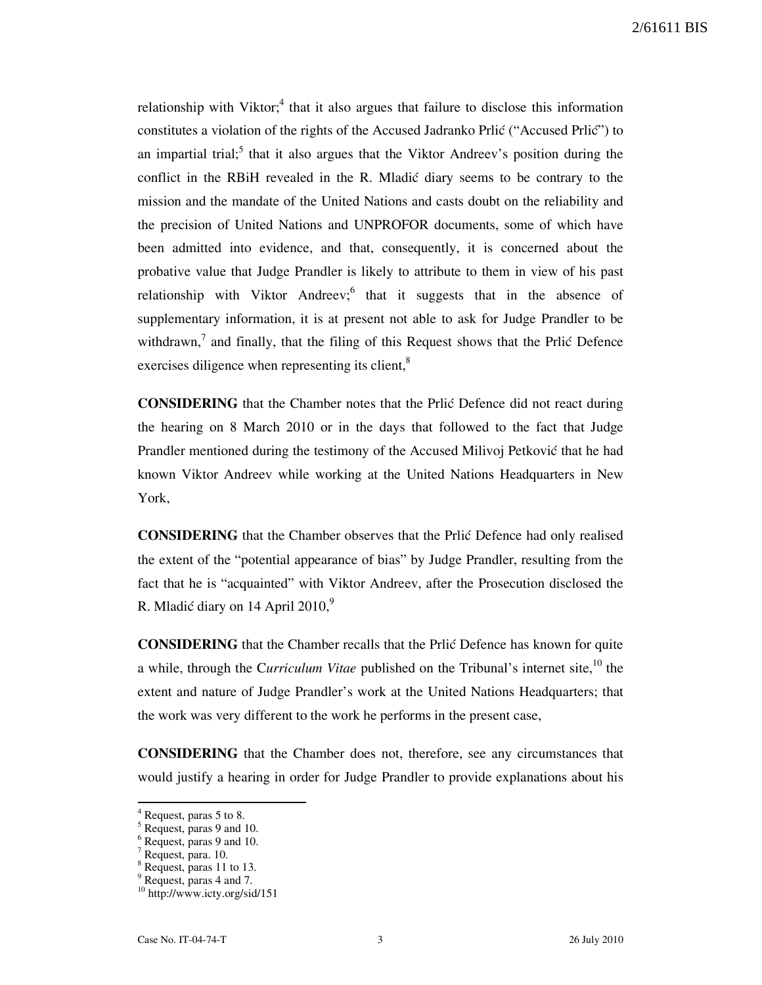relationship with Viktor;<sup>4</sup> that it also argues that failure to disclose this information constitutes a violation of the rights of the Accused Jadranko Prlić ("Accused Prlić") to an impartial trial;<sup>5</sup> that it also argues that the Viktor Andreev's position during the conflict in the RBiH revealed in the R. Mladić diary seems to be contrary to the mission and the mandate of the United Nations and casts doubt on the reliability and the precision of United Nations and UNPROFOR documents, some of which have been admitted into evidence, and that, consequently, it is concerned about the probative value that Judge Prandler is likely to attribute to them in view of his past relationship with Viktor Andreev; that it suggests that in the absence of supplementary information, it is at present not able to ask for Judge Prandler to be withdrawn, $<sup>7</sup>$  and finally, that the filing of this Request shows that the Prlić Defence</sup> exercises diligence when representing its client,<sup>8</sup>

**CONSIDERING** that the Chamber notes that the Prlić Defence did not react during the hearing on 8 March 2010 or in the days that followed to the fact that Judge Prandler mentioned during the testimony of the Accused Milivoj Petković that he had known Viktor Andreev while working at the United Nations Headquarters in New York,

**CONSIDERING** that the Chamber observes that the Prlic Defence had only realised the extent of the "potential appearance of bias" by Judge Prandler, resulting from the fact that he is "acquainted" with Viktor Andreev, after the Prosecution disclosed the R. Mladić diary on 14 April  $2010$ ,<sup>9</sup>

CONSIDERING that the Chamber recalls that the Prlić Defence has known for quite a while, through the Curriculum Vitae published on the Tribunal's internet site,  $^{10}$  the extent and nature of Judge Prandler's work at the United Nations Headquarters; that the work was very different to the work he performs in the present case,

CONSIDERING that the Chamber does not, therefore, see any circumstances that would justify a hearing in order for Judge Prandler to provide explanations about his

 $\overline{a}$ 

<sup>4</sup> Request, paras 5 to 8.

<sup>&</sup>lt;sup>5</sup> Request, paras 9 and 10.

<sup>&</sup>lt;sup>6</sup> Request, paras 9 and 10.

<sup>7</sup> Request, para. 10.

<sup>&</sup>lt;sup>8</sup> Request, paras 11 to 13.

<sup>&</sup>lt;sup>9</sup> Request, paras 4 and 7.

<sup>10</sup> http://www.icty.org/sid/151